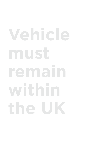# **Vehicle must remain within**